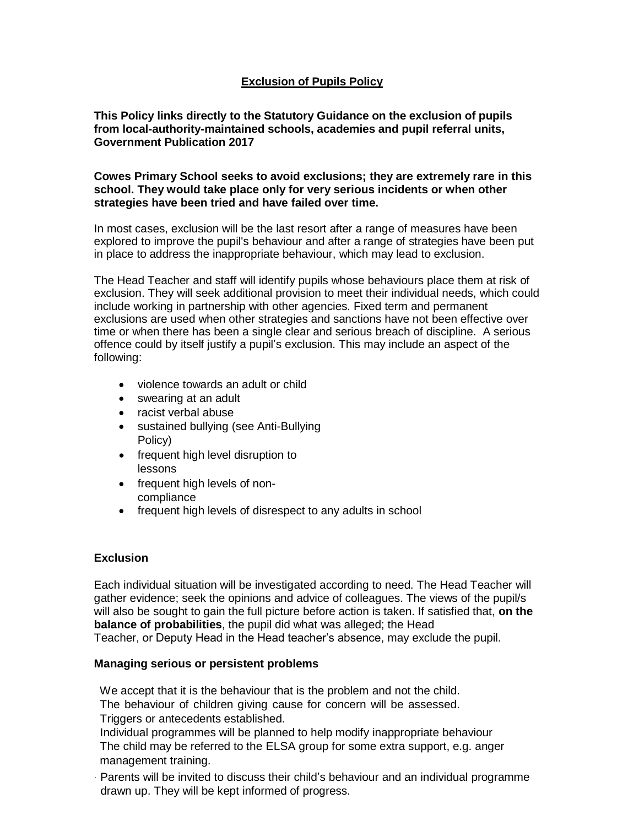# **Exclusion of Pupils Policy**

**This Policy links directly to the Statutory Guidance on the exclusion of pupils from local-authority-maintained schools, academies and pupil referral units, Government Publication 2017**

**Cowes Primary School seeks to avoid exclusions; they are extremely rare in this school. They would take place only for very serious incidents or when other strategies have been tried and have failed over time.**

In most cases, exclusion will be the last resort after a range of measures have been explored to improve the pupil's behaviour and after a range of strategies have been put in place to address the inappropriate behaviour, which may lead to exclusion.

The Head Teacher and staff will identify pupils whose behaviours place them at risk of exclusion. They will seek additional provision to meet their individual needs, which could include working in partnership with other agencies. Fixed term and permanent exclusions are used when other strategies and sanctions have not been effective over time or when there has been a single clear and serious breach of discipline. A serious offence could by itself justify a pupil's exclusion. This may include an aspect of the following:

- violence towards an adult or child
- swearing at an adult
- racist verbal abuse
- sustained bullying (see Anti-Bullying Policy)
- frequent high level disruption to lessons
- frequent high levels of noncompliance
- frequent high levels of disrespect to any adults in school

## **Exclusion**

Each individual situation will be investigated according to need. The Head Teacher will gather evidence; seek the opinions and advice of colleagues. The views of the pupil/s will also be sought to gain the full picture before action is taken. If satisfied that, **on the balance of probabilities**, the pupil did what was alleged; the Head Teacher, or Deputy Head in the Head teacher's absence, may exclude the pupil.

#### **Managing serious or persistent problems**

We accept that it is the behaviour that is the problem and not the child. The behaviour of children giving cause for concern will be assessed. Triggers or antecedents established.

Individual programmes will be planned to help modify inappropriate behaviour The child may be referred to the ELSA group for some extra support, e.g. anger management training.

Parents will be invited to discuss their child's behaviour and an individual programme drawn up. They will be kept informed of progress.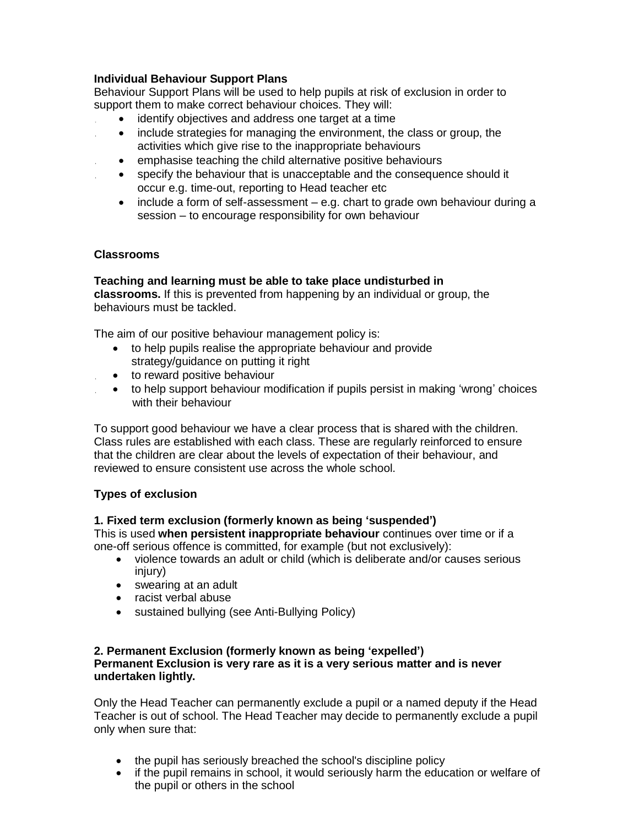## **Individual Behaviour Support Plans**

Behaviour Support Plans will be used to help pupils at risk of exclusion in order to support them to make correct behaviour choices. They will:

- identify objectives and address one target at a time
- include strategies for managing the environment, the class or group, the activities which give rise to the inappropriate behaviours
- emphasise teaching the child alternative positive behaviours
- specify the behaviour that is unacceptable and the consequence should it occur e.g. time-out, reporting to Head teacher etc
- include a form of self-assessment e.g. chart to grade own behaviour during a session – to encourage responsibility for own behaviour

## **Classrooms**

#### **Teaching and learning must be able to take place undisturbed in classrooms.** If this is prevented from happening by an individual or group, the behaviours must be tackled.

The aim of our positive behaviour management policy is:

- to help pupils realise the appropriate behaviour and provide strategy/guidance on putting it right
- to reward positive behaviour
- to help support behaviour modification if pupils persist in making 'wrong' choices with their behaviour

To support good behaviour we have a clear process that is shared with the children. Class rules are established with each class. These are regularly reinforced to ensure that the children are clear about the levels of expectation of their behaviour, and reviewed to ensure consistent use across the whole school.

# **Types of exclusion**

## **1. Fixed term exclusion (formerly known as being 'suspended')**

This is used **when persistent inappropriate behaviour** continues over time or if a one-off serious offence is committed, for example (but not exclusively):

- violence towards an adult or child (which is deliberate and/or causes serious injury)
- swearing at an adult
- racist verbal abuse
- sustained bullying (see Anti-Bullying Policy)

#### **2. Permanent Exclusion (formerly known as being 'expelled') Permanent Exclusion is very rare as it is a very serious matter and is never undertaken lightly.**

Only the Head Teacher can permanently exclude a pupil or a named deputy if the Head Teacher is out of school. The Head Teacher may decide to permanently exclude a pupil only when sure that:

- the pupil has seriously breached the school's discipline policy
- if the pupil remains in school, it would seriously harm the education or welfare of the pupil or others in the school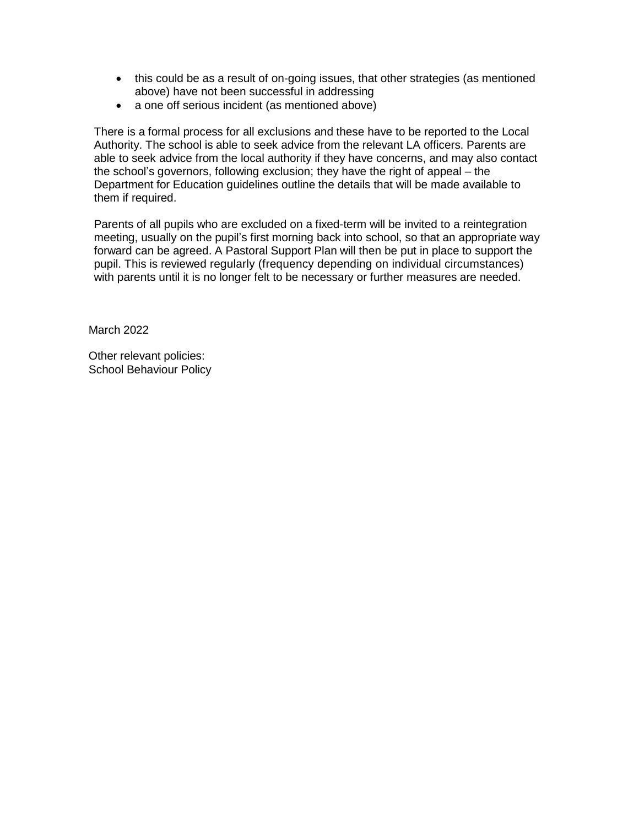- this could be as a result of on-going issues, that other strategies (as mentioned above) have not been successful in addressing
- a one off serious incident (as mentioned above)

There is a formal process for all exclusions and these have to be reported to the Local Authority. The school is able to seek advice from the relevant LA officers. Parents are able to seek advice from the local authority if they have concerns, and may also contact the school's governors, following exclusion; they have the right of appeal – the Department for Education guidelines outline the details that will be made available to them if required.

Parents of all pupils who are excluded on a fixed-term will be invited to a reintegration meeting, usually on the pupil's first morning back into school, so that an appropriate way forward can be agreed. A Pastoral Support Plan will then be put in place to support the pupil. This is reviewed regularly (frequency depending on individual circumstances) with parents until it is no longer felt to be necessary or further measures are needed.

March 2022

Other relevant policies: School Behaviour Policy